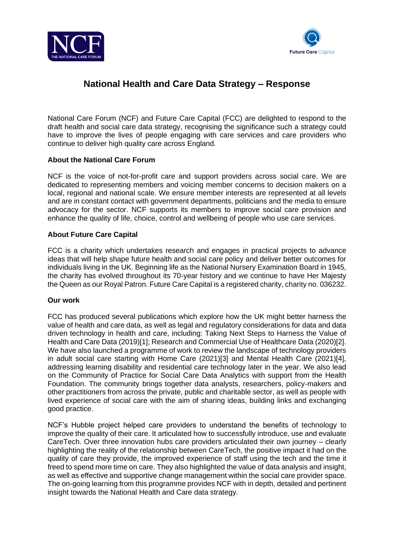



# **National Health and Care Data Strategy – Response**

National Care Forum (NCF) and Future Care Capital (FCC) are delighted to respond to the draft health and social care data strategy, recognising the significance such a strategy could have to improve the lives of people engaging with care services and care providers who continue to deliver high quality care across England.

# **About the National Care Forum**

NCF is the voice of not-for-profit care and support providers across social care. We are dedicated to representing members and voicing member concerns to decision makers on a local, regional and national scale. We ensure member interests are represented at all levels and are in constant contact with government departments, politicians and the media to ensure advocacy for the sector. NCF supports its members to improve social care provision and enhance the quality of life, choice, control and wellbeing of people who use care services.

# **About Future Care Capital**

FCC is a charity which undertakes research and engages in practical projects to advance ideas that will help shape future health and social care policy and deliver better outcomes for individuals living in the UK. Beginning life as the National Nursery Examination Board in 1945, the charity has evolved throughout its 70-year history and we continue to have Her Majesty the Queen as our Royal Patron. Future Care Capital is a registered charity, charity no. 036232.

#### **Our work**

FCC has produced several publications which explore how the UK might better harness the value of health and care data, as well as legal and regulatory considerations for data and data driven technology in health and care, including: Taking Next Steps to Harness the Value of Health and Care Data (2019)[1]; Research and Commercial Use of Healthcare Data (2020)[2]. We have also launched a programme of work to review the landscape of technology providers in adult social care starting with Home Care (2021)[3] and Mental Health Care (2021)[4], addressing learning disability and residential care technology later in the year. We also lead on the Community of Practice for Social Care Data Analytics with support from the Health Foundation. The community brings together data analysts, researchers, policy-makers and other practitioners from across the private, public and charitable sector, as well as people with lived experience of social care with the aim of sharing ideas, building links and exchanging good practice.

NCF's Hubble project helped care providers to understand the benefits of technology to improve the quality of their care. It articulated how to successfully introduce, use and evaluate CareTech. Over three innovation hubs care providers articulated their own journey – clearly highlighting the reality of the relationship between CareTech, the positive impact it had on the quality of care they provide, the improved experience of staff using the tech and the time it freed to spend more time on care. They also highlighted the value of data analysis and insight, as well as effective and supportive change management within the social care provider space. The on-going learning from this programme provides NCF with in depth, detailed and pertinent insight towards the National Health and Care data strategy.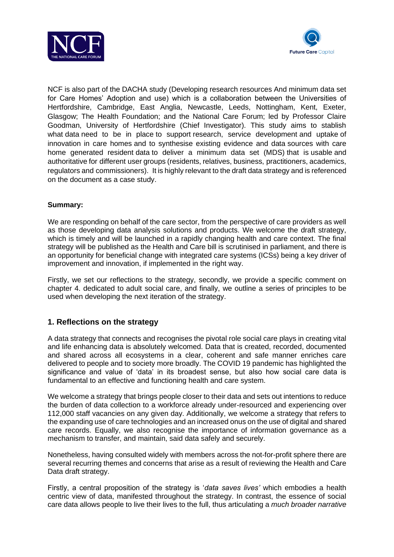



NCF is also part of the DACHA study (Developing research resources And minimum data set for Care Homes' Adoption and use) which is a collaboration between the Universities of Hertfordshire, Cambridge, East Anglia, Newcastle, Leeds, Nottingham, Kent, Exeter, Glasgow; The Health Foundation; and the National Care Forum; led by Professor Claire Goodman, University of Hertfordshire (Chief Investigator). This study aims to stablish what data need to be in place to support research, service development and uptake of innovation in care homes and to synthesise existing evidence and data sources with care home generated resident data to deliver a minimum data set (MDS) that is usable and authoritative for different user groups (residents, relatives, business, practitioners, academics, regulators and commissioners). It is highly relevant to the draft data strategy and is referenced on the document as a case study.

# **Summary:**

We are responding on behalf of the care sector, from the perspective of care providers as well as those developing data analysis solutions and products. We welcome the draft strategy, which is timely and will be launched in a rapidly changing health and care context. The final strategy will be published as the Health and Care bill is scrutinised in parliament, and there is an opportunity for beneficial change with integrated care systems (ICSs) being a key driver of improvement and innovation, if implemented in the right way.

Firstly, we set our reflections to the strategy, secondly, we provide a specific comment on chapter 4. dedicated to adult social care, and finally, we outline a series of principles to be used when developing the next iteration of the strategy.

# **1. Reflections on the strategy**

A data strategy that connects and recognises the pivotal role social care plays in creating vital and life enhancing data is absolutely welcomed. Data that is created, recorded, documented and shared across all ecosystems in a clear, coherent and safe manner enriches care delivered to people and to society more broadly. The COVID 19 pandemic has highlighted the significance and value of 'data' in its broadest sense, but also how social care data is fundamental to an effective and functioning health and care system.

We welcome a strategy that brings people closer to their data and sets out intentions to reduce the burden of data collection to a workforce already under-resourced and experiencing over 112,000 staff vacancies on any given day. Additionally, we welcome a strategy that refers to the expanding use of care technologies and an increased onus on the use of digital and shared care records. Equally, we also recognise the importance of information governance as a mechanism to transfer, and maintain, said data safely and securely.

Nonetheless, having consulted widely with members across the not-for-profit sphere there are several recurring themes and concerns that arise as a result of reviewing the Health and Care Data draft strategy.

Firstly, a central proposition of the strategy is '*data saves lives'* which embodies a health centric view of data, manifested throughout the strategy. In contrast, the essence of social care data allows people to live their lives to the full, thus articulating a *much broader narrative*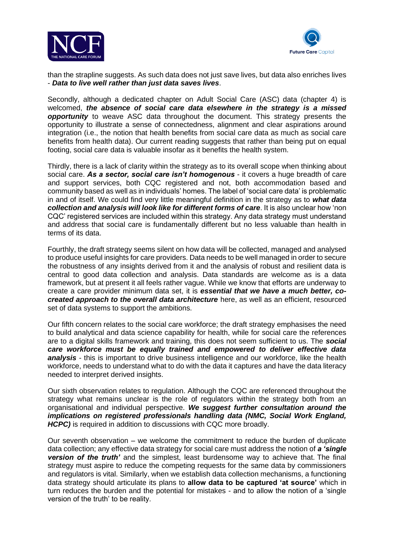



than the strapline suggests. As such data does not just save lives, but data also enriches lives - *Data to live well rather than just data saves lives*.

Secondly, although a dedicated chapter on Adult Social Care (ASC) data (chapter 4) is welcomed, *the absence of social care data elsewhere in the strategy is a missed*  **opportunity** to weave ASC data throughout the document. This strategy presents the opportunity to illustrate a sense of connectedness, alignment and clear aspirations around integration (i.e., the notion that health benefits from social care data as much as social care benefits from health data). Our current reading suggests that rather than being put on equal footing, social care data is valuable insofar as it benefits the health system.

Thirdly, there is a lack of clarity within the strategy as to its overall scope when thinking about social care. *As a sector, social care isn't homogenous* - it covers a huge breadth of care and support services, both CQC registered and not, both accommodation based and community based as well as in individuals' homes. The label of 'social care data' is problematic in and of itself. We could find very little meaningful definition in the strategy as to *what data collection and analysis will look like for different forms of care*. It is also unclear how 'non CQC' registered services are included within this strategy. Any data strategy must understand and address that social care is fundamentally different but no less valuable than health in terms of its data.

Fourthly, the draft strategy seems silent on how data will be collected, managed and analysed to produce useful insights for care providers. Data needs to be well managed in order to secure the robustness of any insights derived from it and the analysis of robust and resilient data is central to good data collection and analysis. Data standards are welcome as is a data framework, but at present it all feels rather vague. While we know that efforts are underway to create a care provider minimum data set, it is *essential that we have a much better, cocreated approach to the overall data architecture* here, as well as an efficient, resourced set of data systems to support the ambitions.

Our fifth concern relates to the social care workforce; the draft strategy emphasises the need to build analytical and data science capability for health, while for social care the references are to a digital skills framework and training, this does not seem sufficient to us. The *social care workforce must be equally trained and empowered to deliver effective data analysis* - this is important to drive business intelligence and our workforce, like the health workforce, needs to understand what to do with the data it captures and have the data literacy needed to interpret derived insights.

Our sixth observation relates to regulation. Although the CQC are referenced throughout the strategy what remains unclear is the role of regulators within the strategy both from an organisational and individual perspective. *We suggest further consultation around the implications on registered professionals handling data (NMC, Social Work England, HCPC)* is required in addition to discussions with CQC more broadly.

Our seventh observation – we welcome the commitment to reduce the burden of duplicate data collection; any effective data strategy for social care must address the notion of *a 'single version of the truth'* and the simplest, least burdensome way to achieve that. The final strategy must aspire to reduce the competing requests for the same data by commissioners and regulators is vital. Similarly, when we establish data collection mechanisms, a functioning data strategy should articulate its plans to **allow data to be captured 'at source'** which in turn reduces the burden and the potential for mistakes - and to allow the notion of a 'single version of the truth' to be reality.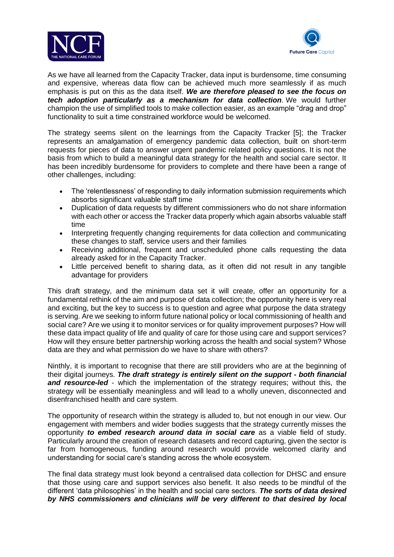



As we have all learned from the Capacity Tracker, data input is burdensome, time consuming and expensive, whereas data flow can be achieved much more seamlessly if as much emphasis is put on this as the data itself. *We are therefore pleased to see the focus on tech adoption particularly as a mechanism for data collection*. We would further champion the use of simplified tools to make collection easier, as an example "drag and drop" functionality to suit a time constrained workforce would be welcomed.

The strategy seems silent on the learnings from the Capacity Tracker [5]; the Tracker represents an amalgamation of emergency pandemic data collection, built on short-term requests for pieces of data to answer urgent pandemic related policy questions. It is not the basis from which to build a meaningful data strategy for the health and social care sector. It has been incredibly burdensome for providers to complete and there have been a range of other challenges, including:

- The 'relentlessness' of responding to daily information submission requirements which absorbs significant valuable staff time
- Duplication of data requests by different commissioners who do not share information with each other or access the Tracker data properly which again absorbs valuable staff time
- Interpreting frequently changing requirements for data collection and communicating these changes to staff, service users and their families
- Receiving additional, frequent and unscheduled phone calls requesting the data already asked for in the Capacity Tracker.
- Little perceived benefit to sharing data, as it often did not result in any tangible advantage for providers

This draft strategy, and the minimum data set it will create, offer an opportunity for a fundamental rethink of the aim and purpose of data collection; the opportunity here is very real and exciting, but the key to success is to question and agree what purpose the data strategy is serving. Are we seeking to inform future national policy or local commissioning of health and social care? Are we using it to monitor services or for quality improvement purposes? How will these data impact quality of life and quality of care for those using care and support services? How will they ensure better partnership working across the health and social system? Whose data are they and what permission do we have to share with others?

Ninthly, it is important to recognise that there are still providers who are at the beginning of their digital journeys. *The draft strategy is entirely silent on the support - both financial and resource-led* - which the implementation of the strategy requires; without this, the strategy will be essentially meaningless and will lead to a wholly uneven, disconnected and disenfranchised health and care system.

The opportunity of research within the strategy is alluded to, but not enough in our view. Our engagement with members and wider bodies suggests that the strategy currently misses the opportunity *to embed research around data in social care* as a viable field of study. Particularly around the creation of research datasets and record capturing, given the sector is far from homogeneous, funding around research would provide welcomed clarity and understanding for social care's standing across the whole ecosystem.

The final data strategy must look beyond a centralised data collection for DHSC and ensure that those using care and support services also benefit. It also needs to be mindful of the different 'data philosophies' in the health and social care sectors. *The sorts of data desired by NHS commissioners and clinicians will be very different to that desired by local*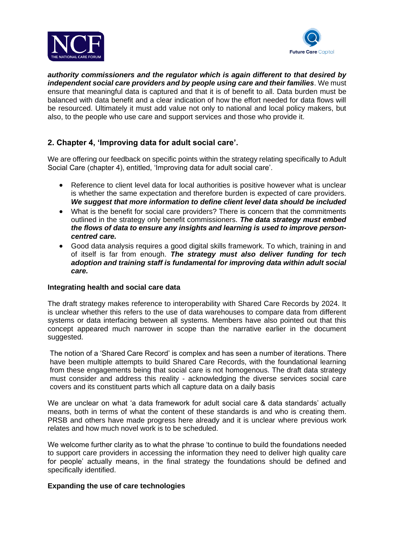



*authority commissioners and the regulator which is again different to that desired by independent social care providers and by people using care and their families*. We must ensure that meaningful data is captured and that it is of benefit to all. Data burden must be balanced with data benefit and a clear indication of how the effort needed for data flows will be resourced. Ultimately it must add value not only to national and local policy makers, but also, to the people who use care and support services and those who provide it.

# **2. Chapter 4, 'Improving data for adult social care'.**

We are offering our feedback on specific points within the strategy relating specifically to Adult Social Care (chapter 4), entitled, 'Improving data for adult social care'.

- Reference to client level data for local authorities is positive however what is unclear is whether the same expectation and therefore burden is expected of care providers. *We suggest that more information to define client level data should be included*
- What is the benefit for social care providers? There is concern that the commitments outlined in the strategy only benefit commissioners. *The data strategy must embed the flows of data to ensure any insights and learning is used to improve personcentred care.*
- Good data analysis requires a good digital skills framework. To which, training in and of itself is far from enough. *The strategy must also deliver funding for tech adoption and training staff is fundamental for improving data within adult social care.*

#### **Integrating health and social care data**

The draft strategy makes reference to interoperability with Shared Care Records by 2024. It is unclear whether this refers to the use of data warehouses to compare data from different systems or data interfacing between all systems. Members have also pointed out that this concept appeared much narrower in scope than the narrative earlier in the document suggested.

The notion of a 'Shared Care Record' is complex and has seen a number of iterations. There have been multiple attempts to build Shared Care Records, with the foundational learning from these engagements being that social care is not homogenous. The draft data strategy must consider and address this reality - acknowledging the diverse services social care covers and its constituent parts which all capture data on a daily basis

We are unclear on what 'a data framework for adult social care & data standards' actually means, both in terms of what the content of these standards is and who is creating them. PRSB and others have made progress here already and it is unclear where previous work relates and how much novel work is to be scheduled.

We welcome further clarity as to what the phrase 'to continue to build the foundations needed to support care providers in accessing the information they need to deliver high quality care for people' actually means, in the final strategy the foundations should be defined and specifically identified.

# **Expanding the use of care technologies**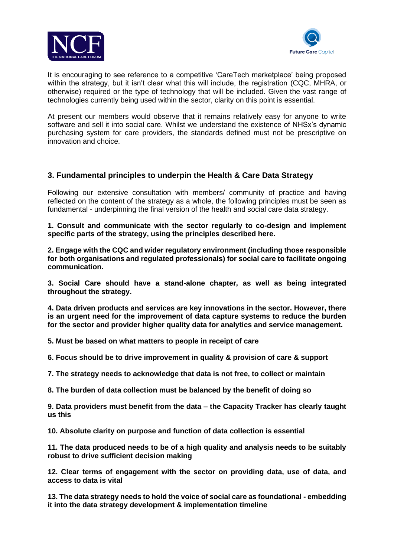



It is encouraging to see reference to a competitive 'CareTech marketplace' being proposed within the strategy, but it isn't clear what this will include, the registration (CQC, MHRA, or otherwise) required or the type of technology that will be included. Given the vast range of technologies currently being used within the sector, clarity on this point is essential.

At present our members would observe that it remains relatively easy for anyone to write software and sell it into social care. Whilst we understand the existence of NHSx's dynamic purchasing system for care providers, the standards defined must not be prescriptive on innovation and choice.

# **3. Fundamental principles to underpin the Health & Care Data Strategy**

Following our extensive consultation with members/ community of practice and having reflected on the content of the strategy as a whole, the following principles must be seen as fundamental - underpinning the final version of the health and social care data strategy.

**1. Consult and communicate with the sector regularly to co-design and implement specific parts of the strategy, using the principles described here.**

**2. Engage with the CQC and wider regulatory environment (including those responsible for both organisations and regulated professionals) for social care to facilitate ongoing communication.**

**3. Social Care should have a stand-alone chapter, as well as being integrated throughout the strategy.**

**4. Data driven products and services are key innovations in the sector. However, there is an urgent need for the improvement of data capture systems to reduce the burden for the sector and provider higher quality data for analytics and service management.**

**5. Must be based on what matters to people in receipt of care**

**6. Focus should be to drive improvement in quality & provision of care & support**

**7. The strategy needs to acknowledge that data is not free, to collect or maintain**

**8. The burden of data collection must be balanced by the benefit of doing so**

**9. Data providers must benefit from the data – the Capacity Tracker has clearly taught us this**

**10. Absolute clarity on purpose and function of data collection is essential**

**11. The data produced needs to be of a high quality and analysis needs to be suitably robust to drive sufficient decision making**

**12. Clear terms of engagement with the sector on providing data, use of data, and access to data is vital**

**13. The data strategy needs to hold the voice of social care as foundational - embedding it into the data strategy development & implementation timeline**